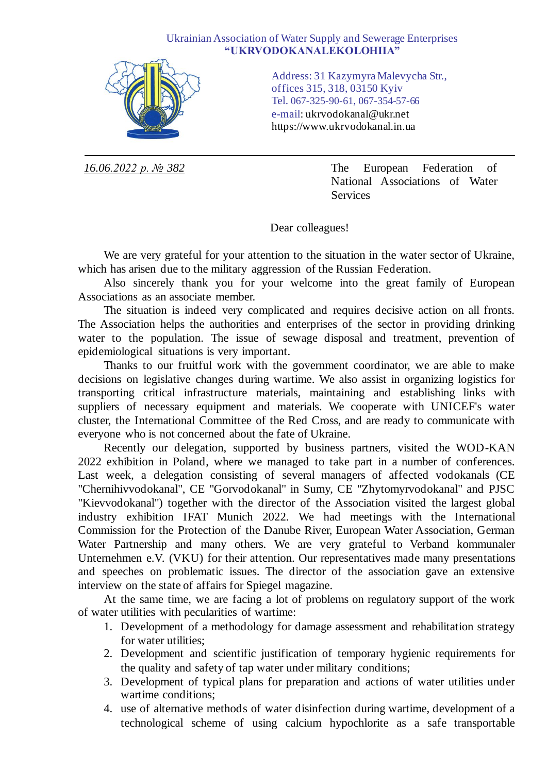## Ukrainian Association of Water Supply and Sewerage Enterprises **"UKRVODOKANALEKOLOHIIA"**



Address: 31 Kazymyra Malevycha Str., offices 315, 318, 03150 Kyiv Tel. 067-325-90-61, 067-354-57-66 e-mail: ukrvodokanal@ukr.net https://www.ukrvodokanal.in.ua

*16.06.2022 р. № 382* The European Federation of National Associations of Water Services

Dear colleagues!

We are very grateful for your attention to the situation in the water sector of Ukraine, which has arisen due to the military aggression of the Russian Federation.

Also sincerely thank you for your welcome into the great family of European Associations as an associate member.

The situation is indeed very complicated and requires decisive action on all fronts. The Association helps the authorities and enterprises of the sector in providing drinking water to the population. The issue of sewage disposal and treatment, prevention of epidemiological situations is very important.

Thanks to our fruitful work with the government coordinator, we are able to make decisions on legislative changes during wartime. We also assist in organizing logistics for transporting critical infrastructure materials, maintaining and establishing links with suppliers of necessary equipment and materials. We cooperate with UNICEF's water cluster, the International Committee of the Red Cross, and are ready to communicate with everyone who is not concerned about the fate of Ukraine.

Recently our delegation, supported by business partners, visited the WOD-KAN 2022 exhibition in Poland, where we managed to take part in a number of conferences. Last week, a delegation consisting of several managers of affected vodokanals (CE "Chernihivvodokanal", CE "Gorvodokanal" in Sumy, CE "Zhytomyrvodokanal" and PJSC "Kievvodokanal") together with the director of the Association visited the largest global industry exhibition IFAT Munich 2022. We had meetings with the International Commission for the Protection of the Danube River, European Water Association, German Water Partnership and many others. We are very grateful to Verband kommunaler Unternehmen e.V. (VKU) for their attention. Our representatives made many presentations and speeches on problematic issues. The director of the association gave an extensive interview on the state of affairs for Spiegel magazine.

At the same time, we are facing a lot of problems on regulatory support of the work of water utilities with pecularities of wartime:

- 1. Development of a methodology for damage assessment and rehabilitation strategy for water utilities;
- 2. Development and scientific justification of temporary hygienic requirements for the quality and safety of tap water under military conditions;
- 3. Development of typical plans for preparation and actions of water utilities under wartime conditions;
- 4. use of alternative methods of water disinfection during wartime, development of a technological scheme of using calcium hypochlorite as a safe transportable